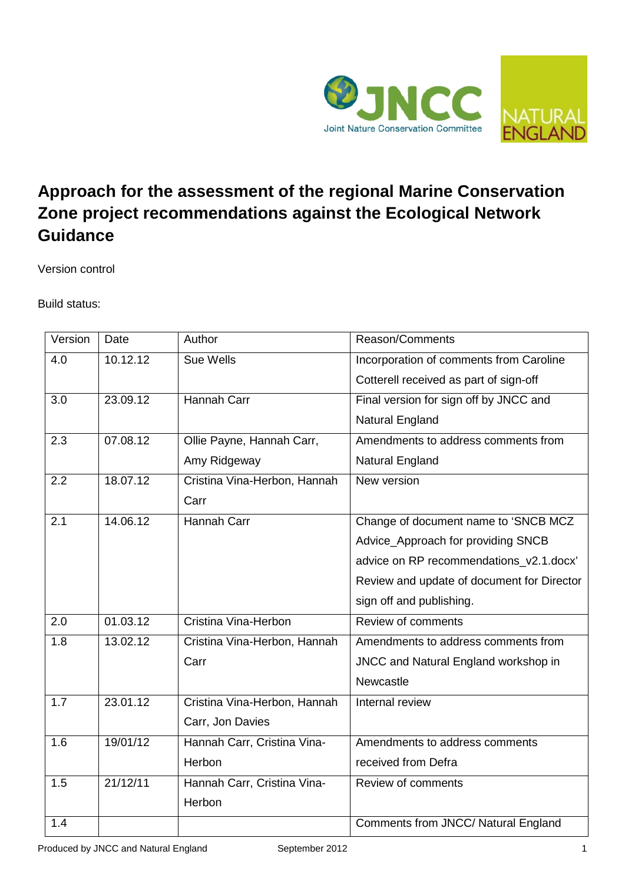



# **Approach for the assessment of the regional Marine Conservation Zone project recommendations against the Ecological Network Guidance**

Version control

Build status:

| Version | Date     | Author                       | Reason/Comments                            |
|---------|----------|------------------------------|--------------------------------------------|
| 4.0     | 10.12.12 | Sue Wells                    | Incorporation of comments from Caroline    |
|         |          |                              | Cotterell received as part of sign-off     |
| 3.0     | 23.09.12 | Hannah Carr                  | Final version for sign off by JNCC and     |
|         |          |                              | Natural England                            |
| 2.3     | 07.08.12 | Ollie Payne, Hannah Carr,    | Amendments to address comments from        |
|         |          | Amy Ridgeway                 | Natural England                            |
| 2.2     | 18.07.12 | Cristina Vina-Herbon, Hannah | New version                                |
|         |          | Carr                         |                                            |
| 2.1     | 14.06.12 | Hannah Carr                  | Change of document name to 'SNCB MCZ       |
|         |          |                              | Advice_Approach for providing SNCB         |
|         |          |                              | advice on RP recommendations_v2.1.docx'    |
|         |          |                              | Review and update of document for Director |
|         |          |                              | sign off and publishing.                   |
| 2.0     | 01.03.12 | Cristina Vina-Herbon         | <b>Review of comments</b>                  |
| 1.8     | 13.02.12 | Cristina Vina-Herbon, Hannah | Amendments to address comments from        |
|         |          | Carr                         | JNCC and Natural England workshop in       |
|         |          |                              | Newcastle                                  |
| 1.7     | 23.01.12 | Cristina Vina-Herbon, Hannah | Internal review                            |
|         |          | Carr, Jon Davies             |                                            |
| 1.6     | 19/01/12 | Hannah Carr, Cristina Vina-  | Amendments to address comments             |
|         |          | Herbon                       | received from Defra                        |
| 1.5     | 21/12/11 | Hannah Carr, Cristina Vina-  | Review of comments                         |
|         |          | Herbon                       |                                            |
| 1.4     |          |                              | Comments from JNCC/ Natural England        |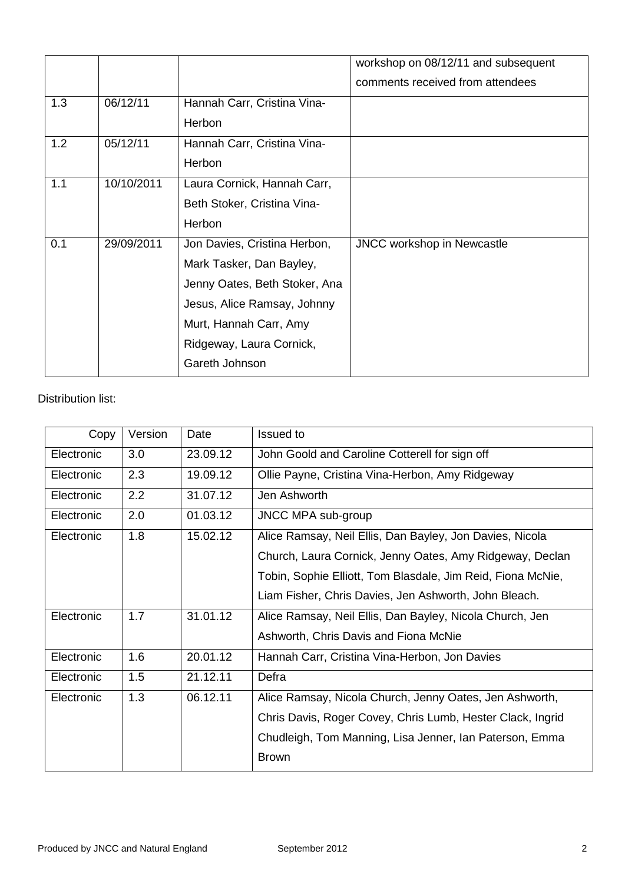|     |            |                               | workshop on 08/12/11 and subsequent |
|-----|------------|-------------------------------|-------------------------------------|
|     |            |                               | comments received from attendees    |
| 1.3 | 06/12/11   | Hannah Carr, Cristina Vina-   |                                     |
|     |            | Herbon                        |                                     |
| 1.2 | 05/12/11   | Hannah Carr, Cristina Vina-   |                                     |
|     |            | Herbon                        |                                     |
| 1.1 | 10/10/2011 | Laura Cornick, Hannah Carr,   |                                     |
|     |            | Beth Stoker, Cristina Vina-   |                                     |
|     |            | Herbon                        |                                     |
| 0.1 | 29/09/2011 | Jon Davies, Cristina Herbon,  | <b>JNCC workshop in Newcastle</b>   |
|     |            | Mark Tasker, Dan Bayley,      |                                     |
|     |            | Jenny Oates, Beth Stoker, Ana |                                     |
|     |            | Jesus, Alice Ramsay, Johnny   |                                     |
|     |            | Murt, Hannah Carr, Amy        |                                     |
|     |            | Ridgeway, Laura Cornick,      |                                     |
|     |            | Gareth Johnson                |                                     |

## Distribution list:

| Copy       | Version | Date     | Issued to                                                   |
|------------|---------|----------|-------------------------------------------------------------|
| Electronic | 3.0     | 23.09.12 | John Goold and Caroline Cotterell for sign off              |
| Electronic | 2.3     | 19.09.12 | Ollie Payne, Cristina Vina-Herbon, Amy Ridgeway             |
| Electronic | 2.2     | 31.07.12 | Jen Ashworth                                                |
| Electronic | 2.0     | 01.03.12 | JNCC MPA sub-group                                          |
| Electronic | 1.8     | 15.02.12 | Alice Ramsay, Neil Ellis, Dan Bayley, Jon Davies, Nicola    |
|            |         |          | Church, Laura Cornick, Jenny Oates, Amy Ridgeway, Declan    |
|            |         |          | Tobin, Sophie Elliott, Tom Blasdale, Jim Reid, Fiona McNie, |
|            |         |          | Liam Fisher, Chris Davies, Jen Ashworth, John Bleach.       |
| Electronic | 1.7     | 31.01.12 | Alice Ramsay, Neil Ellis, Dan Bayley, Nicola Church, Jen    |
|            |         |          | Ashworth, Chris Davis and Fiona McNie                       |
| Electronic | 1.6     | 20.01.12 | Hannah Carr, Cristina Vina-Herbon, Jon Davies               |
| Electronic | 1.5     | 21.12.11 | Defra                                                       |
| Electronic | 1.3     | 06.12.11 | Alice Ramsay, Nicola Church, Jenny Oates, Jen Ashworth,     |
|            |         |          | Chris Davis, Roger Covey, Chris Lumb, Hester Clack, Ingrid  |
|            |         |          | Chudleigh, Tom Manning, Lisa Jenner, Ian Paterson, Emma     |
|            |         |          | <b>Brown</b>                                                |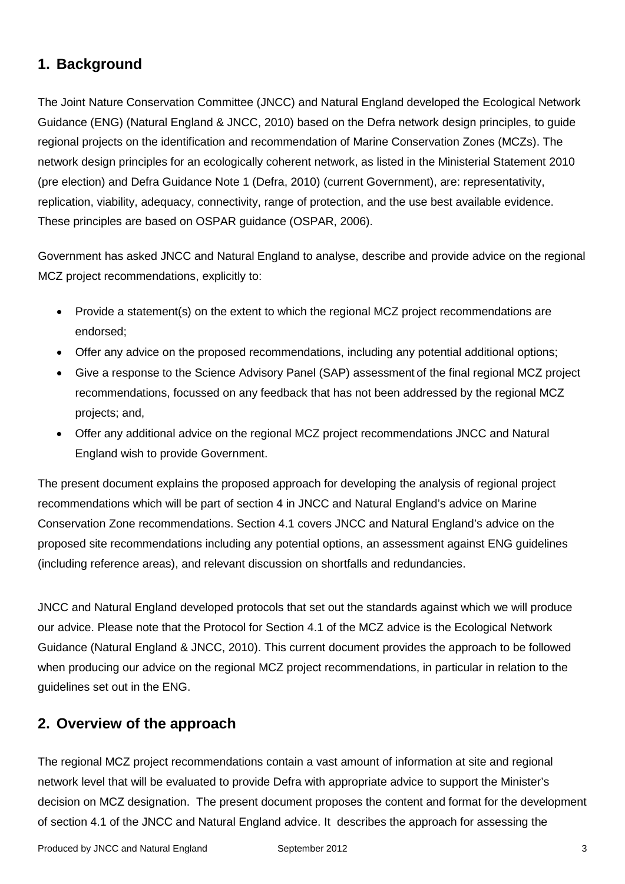# **1. Background**

The Joint Nature Conservation Committee (JNCC) and Natural England developed the Ecological Network Guidance (ENG) (Natural England & JNCC, 2010) based on the Defra network design principles, to guide regional projects on the identification and recommendation of Marine Conservation Zones (MCZs). The network design principles for an ecologically coherent network, as listed in the Ministerial Statement 2010 (pre election) and Defra Guidance Note 1 (Defra, 2010) (current Government), are: representativity, replication, viability, adequacy, connectivity, range of protection, and the use best available evidence. These principles are based on OSPAR guidance (OSPAR, 2006).

Government has asked JNCC and Natural England to analyse, describe and provide advice on the regional MCZ project recommendations, explicitly to:

- Provide a statement(s) on the extent to which the regional MCZ project recommendations are endorsed;
- Offer any advice on the proposed recommendations, including any potential additional options;
- Give a response to the Science Advisory Panel (SAP) assessment of the final regional MCZ project recommendations, focussed on any feedback that has not been addressed by the regional MCZ projects; and,
- Offer any additional advice on the regional MCZ project recommendations JNCC and Natural England wish to provide Government.

The present document explains the proposed approach for developing the analysis of regional project recommendations which will be part of section 4 in JNCC and Natural England's advice on Marine Conservation Zone recommendations. Section 4.1 covers JNCC and Natural England's advice on the proposed site recommendations including any potential options, an assessment against ENG guidelines (including reference areas), and relevant discussion on shortfalls and redundancies.

JNCC and Natural England developed protocols that set out the standards against which we will produce our advice. Please note that the Protocol for Section 4.1 of the MCZ advice is the Ecological Network Guidance (Natural England & JNCC, 2010). This current document provides the approach to be followed when producing our advice on the regional MCZ project recommendations, in particular in relation to the guidelines set out in the ENG.

## **2. Overview of the approach**

The regional MCZ project recommendations contain a vast amount of information at site and regional network level that will be evaluated to provide Defra with appropriate advice to support the Minister's decision on MCZ designation. The present document proposes the content and format for the development of section 4.1 of the JNCC and Natural England advice. It describes the approach for assessing the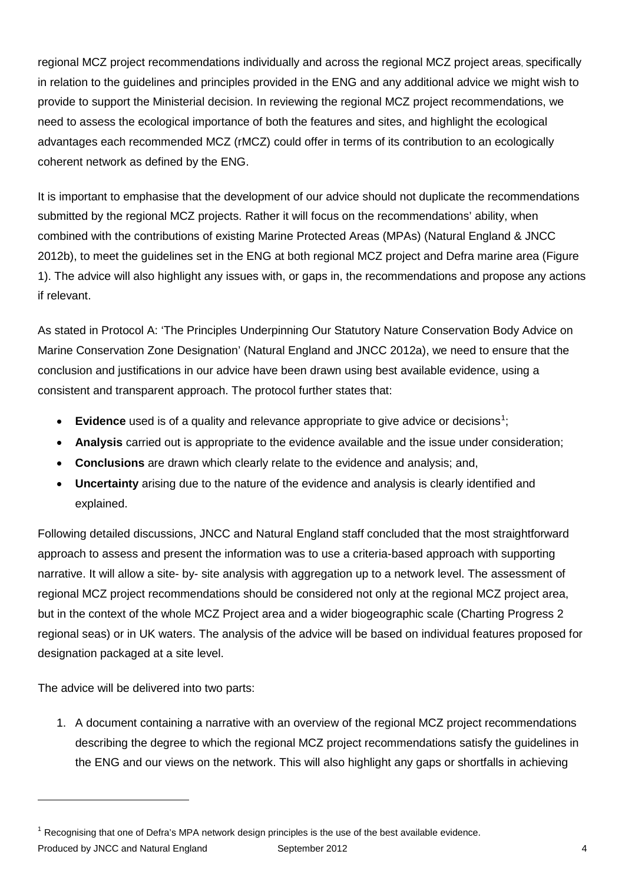regional MCZ project recommendations individually and across the regional MCZ project areas, specifically in relation to the guidelines and principles provided in the ENG and any additional advice we might wish to provide to support the Ministerial decision. In reviewing the regional MCZ project recommendations, we need to assess the ecological importance of both the features and sites, and highlight the ecological advantages each recommended MCZ (rMCZ) could offer in terms of its contribution to an ecologically coherent network as defined by the ENG.

It is important to emphasise that the development of our advice should not duplicate the recommendations submitted by the regional MCZ projects. Rather it will focus on the recommendations' ability, when combined with the contributions of existing Marine Protected Areas (MPAs) (Natural England & JNCC 2012b), to meet the guidelines set in the ENG at both regional MCZ project and Defra marine area (Figure 1). The advice will also highlight any issues with, or gaps in, the recommendations and propose any actions if relevant.

As stated in Protocol A: 'The Principles Underpinning Our Statutory Nature Conservation Body Advice on Marine Conservation Zone Designation' (Natural England and JNCC 2012a), we need to ensure that the conclusion and justifications in our advice have been drawn using best available evidence, using a consistent and transparent approach. The protocol further states that:

- Evidence used is of a quality and relevance appropriate to give advice or decisions<sup>[1](#page-3-0)</sup>;
- **Analysis** carried out is appropriate to the evidence available and the issue under consideration;
- **Conclusions** are drawn which clearly relate to the evidence and analysis; and,
- **Uncertainty** arising due to the nature of the evidence and analysis is clearly identified and explained.

Following detailed discussions, JNCC and Natural England staff concluded that the most straightforward approach to assess and present the information was to use a criteria-based approach with supporting narrative. It will allow a site- by- site analysis with aggregation up to a network level. The assessment of regional MCZ project recommendations should be considered not only at the regional MCZ project area, but in the context of the whole MCZ Project area and a wider biogeographic scale (Charting Progress 2 regional seas) or in UK waters. The analysis of the advice will be based on individual features proposed for designation packaged at a site level.

The advice will be delivered into two parts:

1. A document containing a narrative with an overview of the regional MCZ project recommendations describing the degree to which the regional MCZ project recommendations satisfy the guidelines in the ENG and our views on the network. This will also highlight any gaps or shortfalls in achieving

Produced by JNCC and Natural England September 2012 4

-

<span id="page-3-0"></span> $1$  Recognising that one of Defra's MPA network design principles is the use of the best available evidence.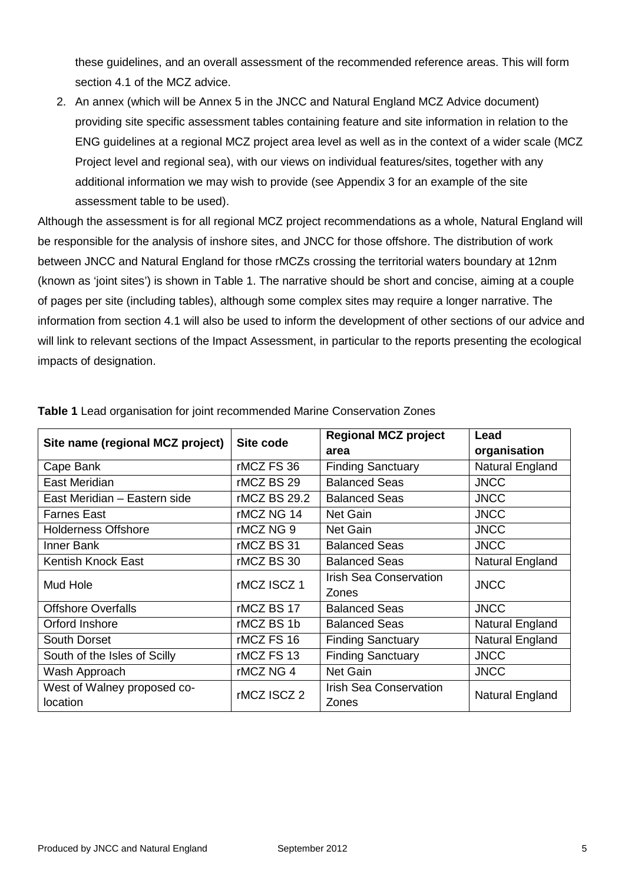these guidelines, and an overall assessment of the recommended reference areas. This will form section 4.1 of the MCZ advice.

2. An annex (which will be Annex 5 in the JNCC and Natural England MCZ Advice document) providing site specific assessment tables containing feature and site information in relation to the ENG guidelines at a regional MCZ project area level as well as in the context of a wider scale (MCZ Project level and regional sea), with our views on individual features/sites, together with any additional information we may wish to provide (see Appendix 3 for an example of the site assessment table to be used).

Although the assessment is for all regional MCZ project recommendations as a whole, Natural England will be responsible for the analysis of inshore sites, and JNCC for those offshore. The distribution of work between JNCC and Natural England for those rMCZs crossing the territorial waters boundary at 12nm (known as 'joint sites') is shown in Table 1. The narrative should be short and concise, aiming at a couple of pages per site (including tables), although some complex sites may require a longer narrative. The information from section 4.1 will also be used to inform the development of other sections of our advice and will link to relevant sections of the Impact Assessment, in particular to the reports presenting the ecological impacts of designation.

|                                  | Site code    | <b>Regional MCZ project</b>   | Lead                   |  |
|----------------------------------|--------------|-------------------------------|------------------------|--|
| Site name (regional MCZ project) |              | area                          | organisation           |  |
| Cape Bank                        | rMCZ FS 36   | <b>Finding Sanctuary</b>      | Natural England        |  |
| East Meridian                    | rMCZ BS 29   | <b>Balanced Seas</b>          | <b>JNCC</b>            |  |
| East Meridian - Eastern side     | rMCZ BS 29.2 | <b>Balanced Seas</b>          | <b>JNCC</b>            |  |
| <b>Farnes East</b>               | rMCZ NG 14   | Net Gain                      | <b>JNCC</b>            |  |
| <b>Holderness Offshore</b>       | rMCZ NG 9    | Net Gain                      | <b>JNCC</b>            |  |
| Inner Bank                       | rMCZ BS 31   | <b>Balanced Seas</b>          | <b>JNCC</b>            |  |
| <b>Kentish Knock East</b>        | rMCZ BS 30   | <b>Balanced Seas</b>          | Natural England        |  |
| Mud Hole                         | rMCZ ISCZ 1  | <b>Irish Sea Conservation</b> | <b>JNCC</b>            |  |
|                                  |              | Zones                         |                        |  |
| <b>Offshore Overfalls</b>        | rMCZ BS 17   | <b>Balanced Seas</b>          | <b>JNCC</b>            |  |
| Orford Inshore                   | rMCZ BS 1b   | <b>Balanced Seas</b>          | <b>Natural England</b> |  |
| South Dorset                     | rMCZ FS 16   | <b>Finding Sanctuary</b>      | <b>Natural England</b> |  |
| South of the Isles of Scilly     | rMCZ FS 13   | <b>Finding Sanctuary</b>      | <b>JNCC</b>            |  |
| Wash Approach                    | rMCZ NG 4    | <b>Net Gain</b>               | <b>JNCC</b>            |  |
| West of Walney proposed co-      | rMCZ ISCZ 2  | <b>Irish Sea Conservation</b> |                        |  |
| location                         |              | Zones                         | Natural England        |  |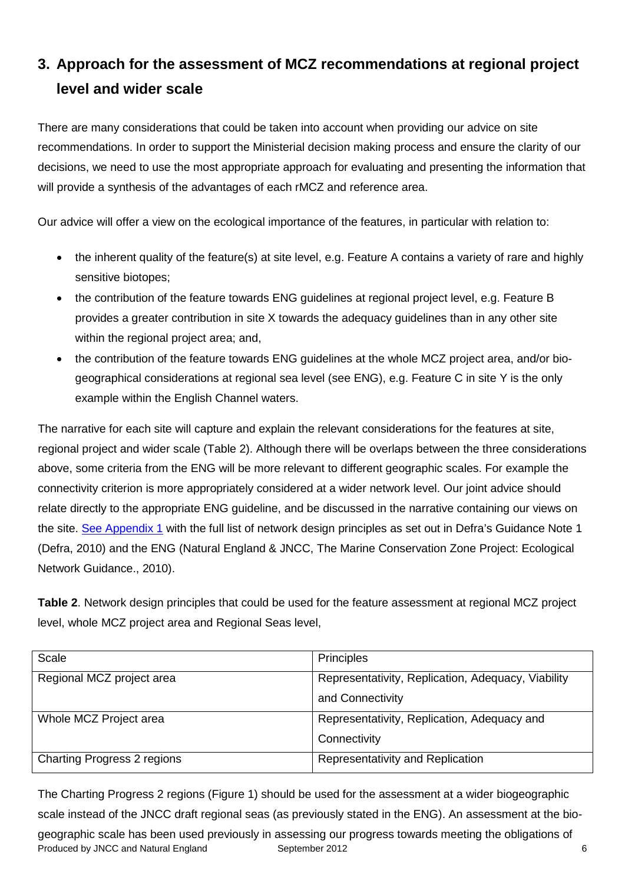# **3. Approach for the assessment of MCZ recommendations at regional project level and wider scale**

There are many considerations that could be taken into account when providing our advice on site recommendations. In order to support the Ministerial decision making process and ensure the clarity of our decisions, we need to use the most appropriate approach for evaluating and presenting the information that will provide a synthesis of the advantages of each rMCZ and reference area.

Our advice will offer a view on the ecological importance of the features, in particular with relation to:

- the inherent quality of the feature(s) at site level, e.g. Feature A contains a variety of rare and highly sensitive biotopes;
- the contribution of the feature towards ENG guidelines at regional project level, e.g. Feature B provides a greater contribution in site X towards the adequacy guidelines than in any other site within the regional project area; and,
- the contribution of the feature towards ENG guidelines at the whole MCZ project area, and/or biogeographical considerations at regional sea level (see ENG), e.g. Feature C in site Y is the only example within the English Channel waters.

The narrative for each site will capture and explain the relevant considerations for the features at site, regional project and wider scale (Table 2). Although there will be overlaps between the three considerations above, some criteria from the ENG will be more relevant to different geographic scales. For example the connectivity criterion is more appropriately considered at a wider network level. Our joint advice should relate directly to the appropriate ENG guideline, and be discussed in the narrative containing our views on the site. [See Appendix 1](#page-14-0) with the full list of network design principles as set out in Defra's Guidance Note 1 (Defra, 2010) and the ENG (Natural England & JNCC, The Marine Conservation Zone Project: Ecological Network Guidance., 2010).

**Table 2**. Network design principles that could be used for the feature assessment at regional MCZ project level, whole MCZ project area and Regional Seas level,

| Scale                              | Principles                                         |
|------------------------------------|----------------------------------------------------|
| Regional MCZ project area          | Representativity, Replication, Adequacy, Viability |
|                                    | and Connectivity                                   |
| Whole MCZ Project area             | Representativity, Replication, Adequacy and        |
|                                    | Connectivity                                       |
| <b>Charting Progress 2 regions</b> | Representativity and Replication                   |

The Charting Progress 2 regions (Figure 1) should be used for the assessment at a wider biogeographic scale instead of the JNCC draft regional seas (as previously stated in the ENG). An assessment at the bio-

Produced by JNCC and Natural England September 2012 6 geographic scale has been used previously in assessing our progress towards meeting the obligations of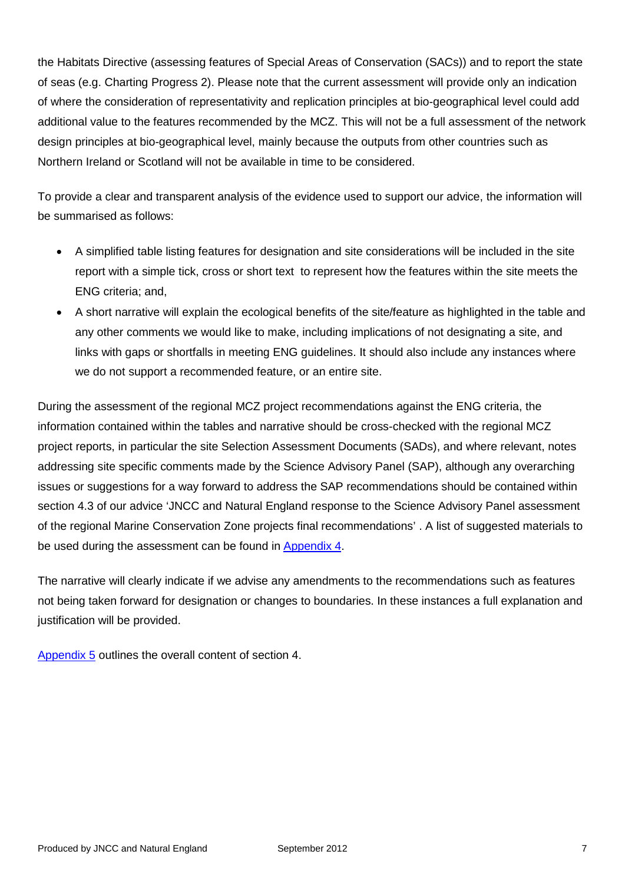the Habitats Directive (assessing features of Special Areas of Conservation (SACs)) and to report the state of seas (e.g. Charting Progress 2). Please note that the current assessment will provide only an indication of where the consideration of representativity and replication principles at bio-geographical level could add additional value to the features recommended by the MCZ. This will not be a full assessment of the network design principles at bio-geographical level, mainly because the outputs from other countries such as Northern Ireland or Scotland will not be available in time to be considered.

To provide a clear and transparent analysis of the evidence used to support our advice, the information will be summarised as follows:

- A simplified table listing features for designation and site considerations will be included in the site report with a simple tick, cross or short text to represent how the features within the site meets the ENG criteria; and,
- A short narrative will explain the ecological benefits of the site/feature as highlighted in the table and any other comments we would like to make, including implications of not designating a site, and links with gaps or shortfalls in meeting ENG guidelines. It should also include any instances where we do not support a recommended feature, or an entire site.

During the assessment of the regional MCZ project recommendations against the ENG criteria, the information contained within the tables and narrative should be cross-checked with the regional MCZ project reports, in particular the site Selection Assessment Documents (SADs), and where relevant, notes addressing site specific comments made by the Science Advisory Panel (SAP), although any overarching issues or suggestions for a way forward to address the SAP recommendations should be contained within section 4.3 of our advice 'JNCC and Natural England response to the Science Advisory Panel assessment of the regional Marine Conservation Zone projects final recommendations' . A list of suggested materials to be used during the assessment can be found in [Appendix 4.](#page-24-0)

The narrative will clearly indicate if we advise any amendments to the recommendations such as features not being taken forward for designation or changes to boundaries. In these instances a full explanation and justification will be provided.

[Appendix 5](#page-25-0) outlines the overall content of section 4.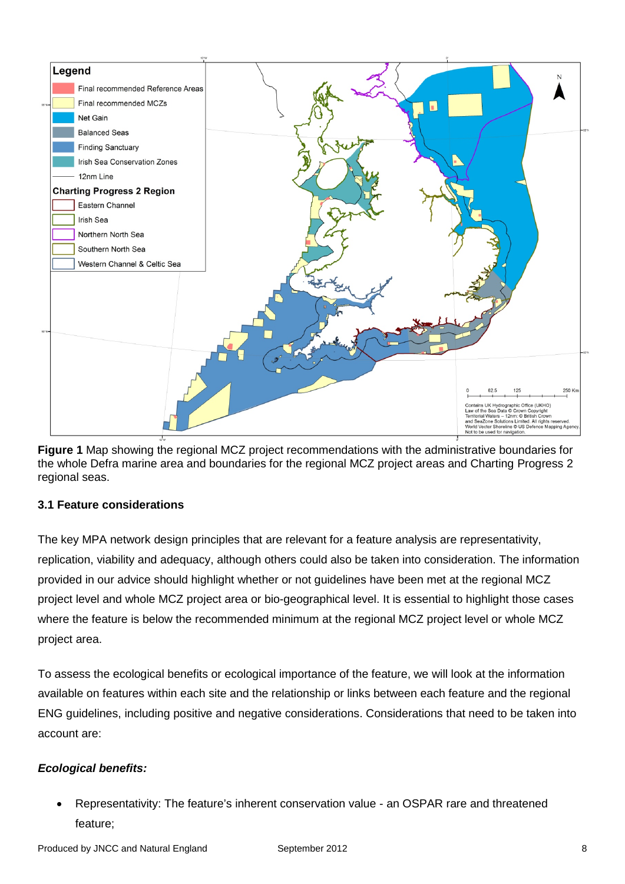

**Figure 1** Map showing the regional MCZ project recommendations with the administrative boundaries for the whole Defra marine area and boundaries for the regional MCZ project areas and Charting Progress 2 regional seas.

## **3.1 Feature considerations**

The key MPA network design principles that are relevant for a feature analysis are representativity, replication, viability and adequacy, although others could also be taken into consideration. The information provided in our advice should highlight whether or not guidelines have been met at the regional MCZ project level and whole MCZ project area or bio-geographical level. It is essential to highlight those cases where the feature is below the recommended minimum at the regional MCZ project level or whole MCZ project area.

To assess the ecological benefits or ecological importance of the feature, we will look at the information available on features within each site and the relationship or links between each feature and the regional ENG guidelines, including positive and negative considerations. Considerations that need to be taken into account are:

## *Ecological benefits:*

• Representativity: The feature's inherent conservation value - an OSPAR rare and threatened feature;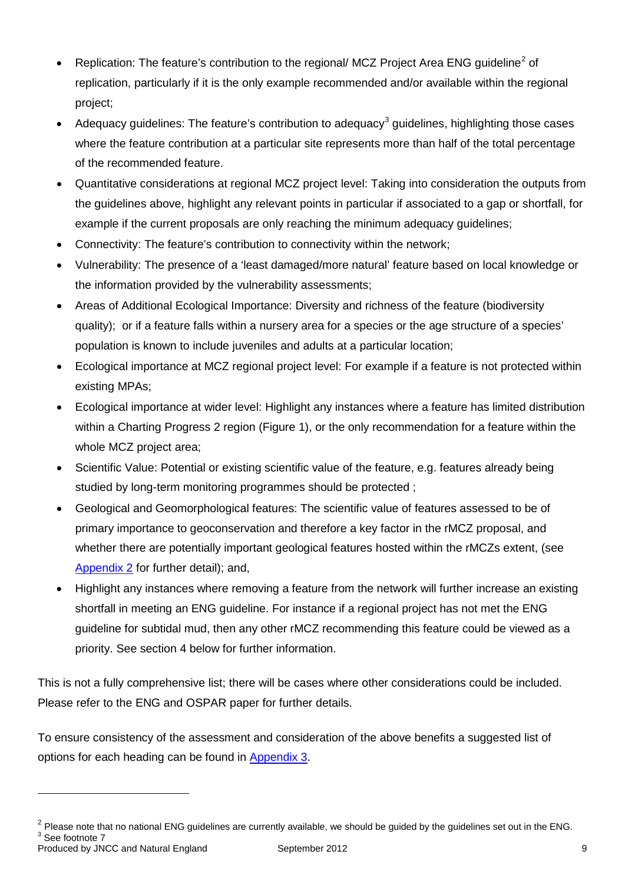- Replication: The feature's contribution to the regional/ MCZ Project Area ENG guideline<sup>[2](#page-8-0)</sup> of replication, particularly if it is the only example recommended and/or available within the regional project;
- Adequacy quidelines: The feature's contribution to adequacy<sup>[3](#page-8-1)</sup> guidelines, highlighting those cases where the feature contribution at a particular site represents more than half of the total percentage of the recommended feature.
- Quantitative considerations at regional MCZ project level: Taking into consideration the outputs from the guidelines above, highlight any relevant points in particular if associated to a gap or shortfall, for example if the current proposals are only reaching the minimum adequacy guidelines;
- Connectivity: The feature's contribution to connectivity within the network;
- Vulnerability: The presence of a 'least damaged/more natural' feature based on local knowledge or the information provided by the vulnerability assessments;
- Areas of Additional Ecological Importance: Diversity and richness of the feature (biodiversity quality); or if a feature falls within a nursery area for a species or the age structure of a species' population is known to include juveniles and adults at a particular location;
- Ecological importance at MCZ regional project level: For example if a feature is not protected within existing MPAs;
- Ecological importance at wider level: Highlight any instances where a feature has limited distribution within a Charting Progress 2 region (Figure 1), or the only recommendation for a feature within the whole MCZ project area;
- Scientific Value: Potential or existing scientific value of the feature, e.g. features already being studied by long-term monitoring programmes should be protected ;
- Geological and Geomorphological features: The scientific value of features assessed to be of primary importance to geoconservation and therefore a key factor in the rMCZ proposal, and whether there are potentially important geological features hosted within the rMCZs extent, (see Appendix 2 for further detail); and,
- Highlight any instances where removing a feature from the network will further increase an existing shortfall in meeting an ENG guideline. For instance if a regional project has not met the ENG guideline for subtidal mud, then any other rMCZ recommending this feature could be viewed as a priority. See section 4 below for further information.

This is not a fully comprehensive list; there will be cases where other considerations could be included. Please refer to the ENG and OSPAR paper for further details.

To ensure consistency of the assessment and consideration of the above benefits a suggested list of options for each heading can be found in [Appendix 3.](#page-17-0)

<span id="page-8-1"></span>Produced by JNCC and Natural England September 2012 September 2012

-

<span id="page-8-0"></span> $2$  Please note that no national ENG guidelines are currently available, we should be guided by the guidelines set out in the ENG.<br> $3$  See footnote 7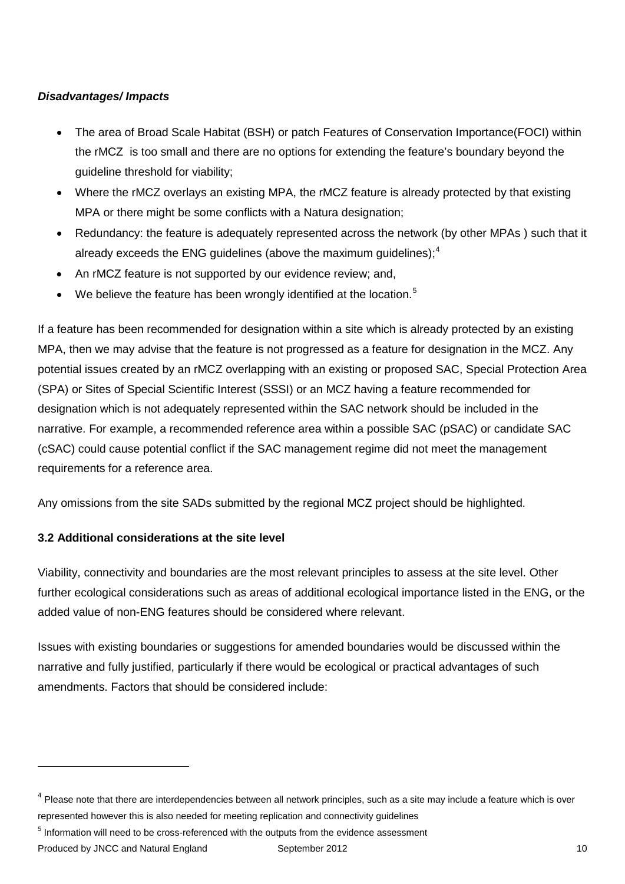### *Disadvantages/ Impacts*

- The area of Broad Scale Habitat (BSH) or patch Features of Conservation Importance(FOCI) within the rMCZ is too small and there are no options for extending the feature's boundary beyond the guideline threshold for viability;
- Where the rMCZ overlays an existing MPA, the rMCZ feature is already protected by that existing MPA or there might be some conflicts with a Natura designation;
- Redundancy: the feature is adequately represented across the network (by other MPAs ) such that it already exceeds the ENG guidelines (above the maximum guidelines);<sup>[4](#page-9-0)</sup>
- An rMCZ feature is not supported by our evidence review; and,
- $\bullet$  We believe the feature has been wrongly identified at the location.<sup>[5](#page-9-1)</sup>

If a feature has been recommended for designation within a site which is already protected by an existing MPA, then we may advise that the feature is not progressed as a feature for designation in the MCZ. Any potential issues created by an rMCZ overlapping with an existing or proposed SAC, Special Protection Area (SPA) or Sites of Special Scientific Interest (SSSI) or an MCZ having a feature recommended for designation which is not adequately represented within the SAC network should be included in the narrative. For example, a recommended reference area within a possible SAC (pSAC) or candidate SAC (cSAC) could cause potential conflict if the SAC management regime did not meet the management requirements for a reference area.

Any omissions from the site SADs submitted by the regional MCZ project should be highlighted.

## **3.2 Additional considerations at the site level**

Viability, connectivity and boundaries are the most relevant principles to assess at the site level. Other further ecological considerations such as areas of additional ecological importance listed in the ENG, or the added value of non-ENG features should be considered where relevant.

Issues with existing boundaries or suggestions for amended boundaries would be discussed within the narrative and fully justified, particularly if there would be ecological or practical advantages of such amendments. Factors that should be considered include:

Produced by JNCC and Natural England September 2012 10

-

<span id="page-9-0"></span><sup>&</sup>lt;sup>4</sup> Please note that there are interdependencies between all network principles, such as a site may include a feature which is over represented however this is also needed for meeting replication and connectivity guidelines

<span id="page-9-1"></span><sup>&</sup>lt;sup>5</sup> Information will need to be cross-referenced with the outputs from the evidence assessment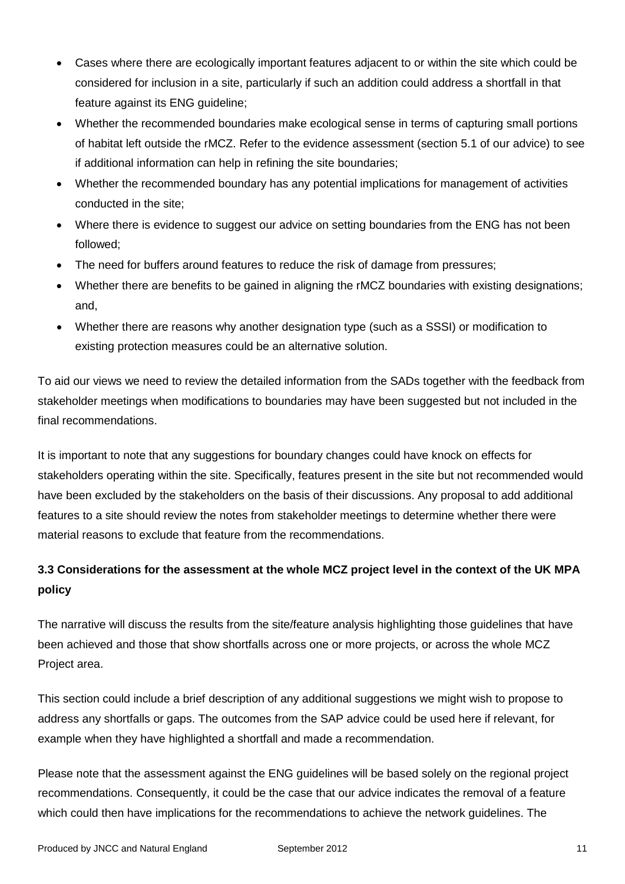- Cases where there are ecologically important features adjacent to or within the site which could be considered for inclusion in a site, particularly if such an addition could address a shortfall in that feature against its ENG guideline;
- Whether the recommended boundaries make ecological sense in terms of capturing small portions of habitat left outside the rMCZ. Refer to the evidence assessment (section 5.1 of our advice) to see if additional information can help in refining the site boundaries;
- Whether the recommended boundary has any potential implications for management of activities conducted in the site;
- Where there is evidence to suggest our advice on setting boundaries from the ENG has not been followed;
- The need for buffers around features to reduce the risk of damage from pressures;
- Whether there are benefits to be gained in aligning the rMCZ boundaries with existing designations; and,
- Whether there are reasons why another designation type (such as a SSSI) or modification to existing protection measures could be an alternative solution.

To aid our views we need to review the detailed information from the SADs together with the feedback from stakeholder meetings when modifications to boundaries may have been suggested but not included in the final recommendations.

It is important to note that any suggestions for boundary changes could have knock on effects for stakeholders operating within the site. Specifically, features present in the site but not recommended would have been excluded by the stakeholders on the basis of their discussions. Any proposal to add additional features to a site should review the notes from stakeholder meetings to determine whether there were material reasons to exclude that feature from the recommendations.

# **3.3 Considerations for the assessment at the whole MCZ project level in the context of the UK MPA policy**

The narrative will discuss the results from the site/feature analysis highlighting those guidelines that have been achieved and those that show shortfalls across one or more projects, or across the whole MCZ Project area.

This section could include a brief description of any additional suggestions we might wish to propose to address any shortfalls or gaps. The outcomes from the SAP advice could be used here if relevant, for example when they have highlighted a shortfall and made a recommendation.

Please note that the assessment against the ENG guidelines will be based solely on the regional project recommendations. Consequently, it could be the case that our advice indicates the removal of a feature which could then have implications for the recommendations to achieve the network guidelines. The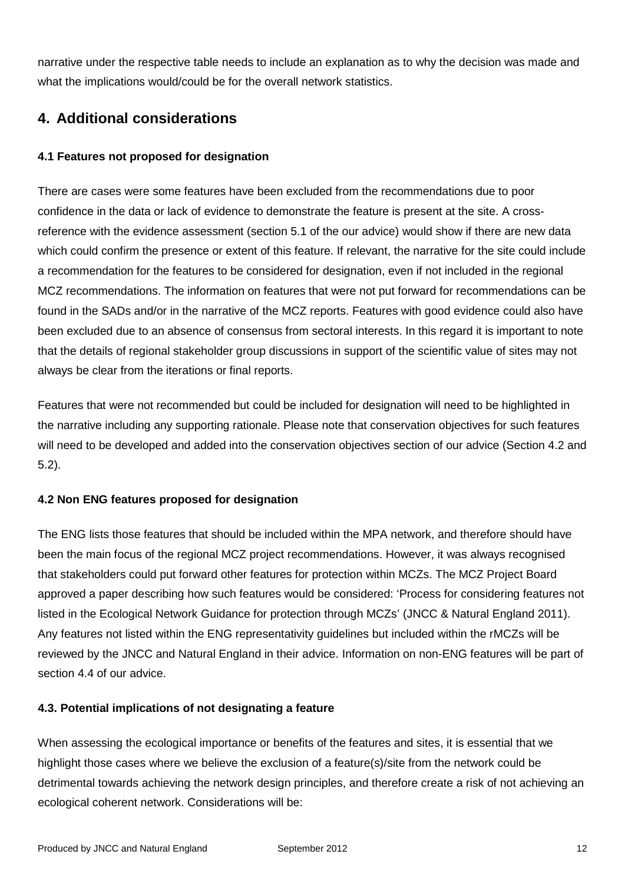narrative under the respective table needs to include an explanation as to why the decision was made and what the implications would/could be for the overall network statistics.

# **4. Additional considerations**

## **4.1 Features not proposed for designation**

There are cases were some features have been excluded from the recommendations due to poor confidence in the data or lack of evidence to demonstrate the feature is present at the site. A crossreference with the evidence assessment (section 5.1 of the our advice) would show if there are new data which could confirm the presence or extent of this feature. If relevant, the narrative for the site could include a recommendation for the features to be considered for designation, even if not included in the regional MCZ recommendations. The information on features that were not put forward for recommendations can be found in the SADs and/or in the narrative of the MCZ reports. Features with good evidence could also have been excluded due to an absence of consensus from sectoral interests. In this regard it is important to note that the details of regional stakeholder group discussions in support of the scientific value of sites may not always be clear from the iterations or final reports.

Features that were not recommended but could be included for designation will need to be highlighted in the narrative including any supporting rationale. Please note that conservation objectives for such features will need to be developed and added into the conservation objectives section of our advice (Section 4.2 and 5.2).

## **4.2 Non ENG features proposed for designation**

The ENG lists those features that should be included within the MPA network, and therefore should have been the main focus of the regional MCZ project recommendations. However, it was always recognised that stakeholders could put forward other features for protection within MCZs. The MCZ Project Board approved a paper describing how such features would be considered: 'Process for considering features not listed in the Ecological Network Guidance for protection through MCZs' (JNCC & Natural England 2011). Any features not listed within the ENG representativity guidelines but included within the rMCZs will be reviewed by the JNCC and Natural England in their advice. Information on non-ENG features will be part of section 4.4 of our advice.

## **4.3. Potential implications of not designating a feature**

When assessing the ecological importance or benefits of the features and sites, it is essential that we highlight those cases where we believe the exclusion of a feature(s)/site from the network could be detrimental towards achieving the network design principles, and therefore create a risk of not achieving an ecological coherent network. Considerations will be: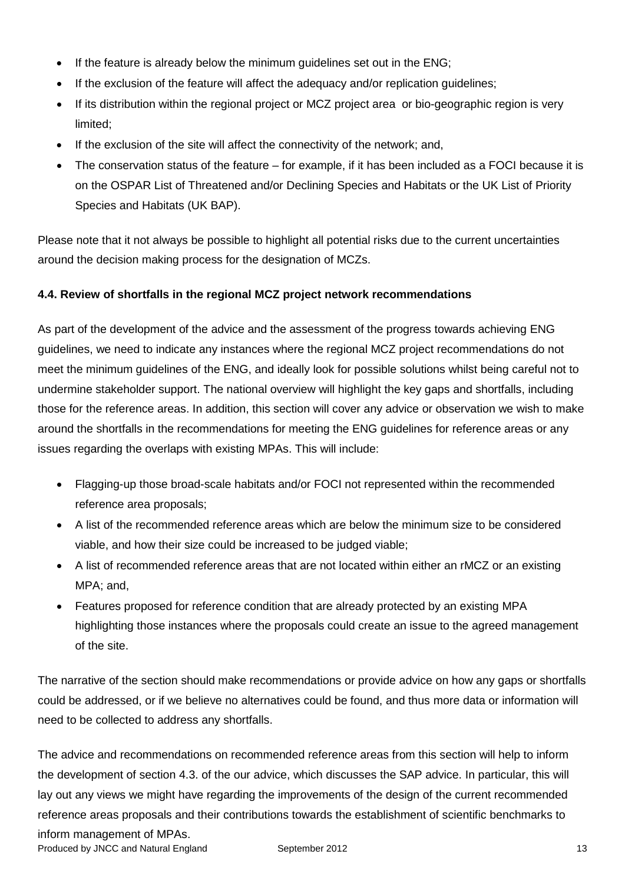- If the feature is already below the minimum guidelines set out in the ENG;
- If the exclusion of the feature will affect the adequacy and/or replication guidelines;
- If its distribution within the regional project or MCZ project area or bio-geographic region is very limited;
- If the exclusion of the site will affect the connectivity of the network; and,
- The conservation status of the feature for example, if it has been included as a FOCI because it is on the OSPAR List of Threatened and/or Declining Species and Habitats or the UK List of Priority Species and Habitats (UK BAP).

Please note that it not always be possible to highlight all potential risks due to the current uncertainties around the decision making process for the designation of MCZs.

### **4.4. Review of shortfalls in the regional MCZ project network recommendations**

As part of the development of the advice and the assessment of the progress towards achieving ENG guidelines, we need to indicate any instances where the regional MCZ project recommendations do not meet the minimum guidelines of the ENG, and ideally look for possible solutions whilst being careful not to undermine stakeholder support. The national overview will highlight the key gaps and shortfalls, including those for the reference areas. In addition, this section will cover any advice or observation we wish to make around the shortfalls in the recommendations for meeting the ENG guidelines for reference areas or any issues regarding the overlaps with existing MPAs. This will include:

- Flagging-up those broad-scale habitats and/or FOCI not represented within the recommended reference area proposals;
- A list of the recommended reference areas which are below the minimum size to be considered viable, and how their size could be increased to be judged viable;
- A list of recommended reference areas that are not located within either an rMCZ or an existing MPA; and,
- Features proposed for reference condition that are already protected by an existing MPA highlighting those instances where the proposals could create an issue to the agreed management of the site.

The narrative of the section should make recommendations or provide advice on how any gaps or shortfalls could be addressed, or if we believe no alternatives could be found, and thus more data or information will need to be collected to address any shortfalls.

The advice and recommendations on recommended reference areas from this section will help to inform the development of section 4.3. of the our advice, which discusses the SAP advice. In particular, this will lay out any views we might have regarding the improvements of the design of the current recommended reference areas proposals and their contributions towards the establishment of scientific benchmarks to inform management of MPAs.

Produced by JNCC and Natural England September 2012 13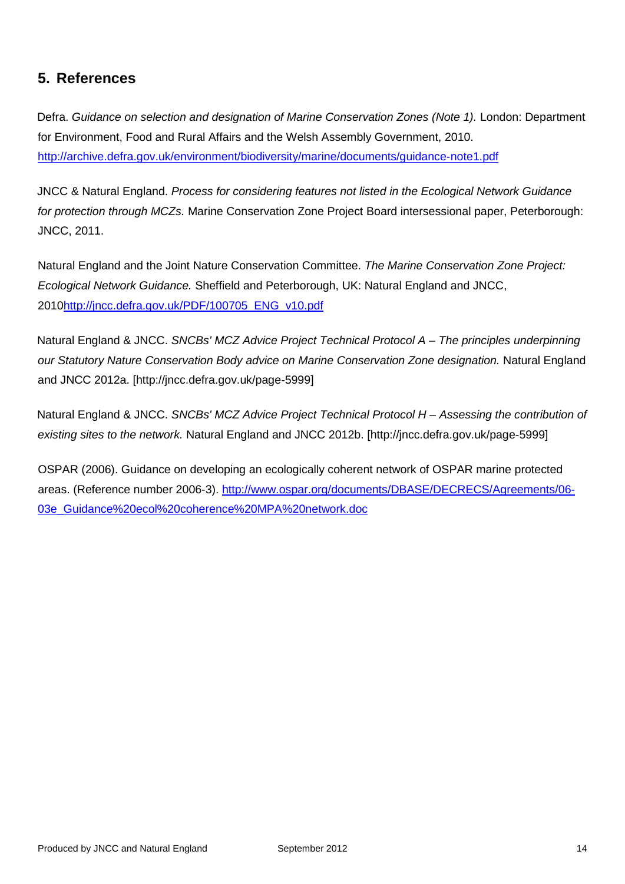# **5. References**

Defra. *Guidance on selection and designation of Marine Conservation Zones (Note 1).* London: Department for Environment, Food and Rural Affairs and the Welsh Assembly Government, 2010. <http://archive.defra.gov.uk/environment/biodiversity/marine/documents/guidance-note1.pdf>

JNCC & Natural England. *Process for considering features not listed in the Ecological Network Guidance for protection through MCZs.* Marine Conservation Zone Project Board intersessional paper, Peterborough: JNCC, 2011.

Natural England and the Joint Nature Conservation Committee. *The Marine Conservation Zone Project: Ecological Network Guidance.* Sheffield and Peterborough, UK: Natural England and JNCC, 201[0http://jncc.defra.gov.uk/PDF/100705\\_ENG\\_v10.pdf](http://jncc.defra.gov.uk/PDF/100705_ENG_v10.pdf)

Natural England & JNCC. *SNCBs' MCZ Advice Project Technical Protocol A – The principles underpinning our Statutory Nature Conservation Body advice on Marine Conservation Zone designation.* Natural England and JNCC 2012a. [http://jncc.defra.gov.uk/page-5999]

Natural England & JNCC. *SNCBs' MCZ Advice Project Technical Protocol H – Assessing the contribution of existing sites to the network.* Natural England and JNCC 2012b. [http://jncc.defra.gov.uk/page-5999]

OSPAR (2006). Guidance on developing an ecologically coherent network of OSPAR marine protected areas. (Reference number 2006-3). [http://www.ospar.org/documents/DBASE/DECRECS/Agreements/06-](http://www.ospar.org/documents/DBASE/DECRECS/Agreements/06-03e_Guidance%20ecol%20coherence%20MPA%20network.doc) [03e\\_Guidance%20ecol%20coherence%20MPA%20network.doc](http://www.ospar.org/documents/DBASE/DECRECS/Agreements/06-03e_Guidance%20ecol%20coherence%20MPA%20network.doc)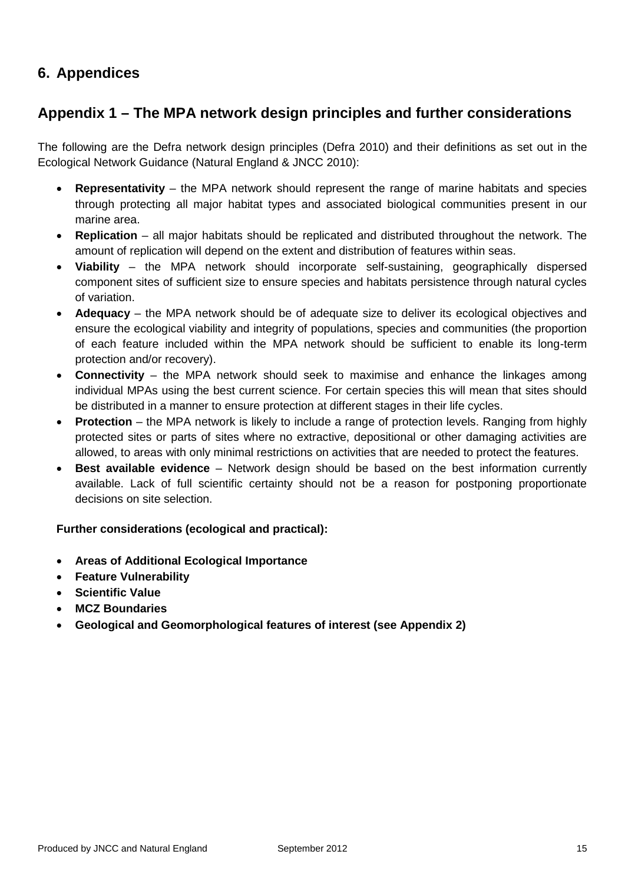# **6. Appendices**

# <span id="page-14-0"></span>**Appendix 1 – The MPA network design principles and further considerations**

The following are the Defra network design principles (Defra 2010) and their definitions as set out in the Ecological Network Guidance (Natural England & JNCC 2010):

- **Representativity** the MPA network should represent the range of marine habitats and species through protecting all major habitat types and associated biological communities present in our marine area.
- **Replication** all major habitats should be replicated and distributed throughout the network. The amount of replication will depend on the extent and distribution of features within seas.
- **Viability** the MPA network should incorporate self-sustaining, geographically dispersed component sites of sufficient size to ensure species and habitats persistence through natural cycles of variation.
- **Adequacy** the MPA network should be of adequate size to deliver its ecological objectives and ensure the ecological viability and integrity of populations, species and communities (the proportion of each feature included within the MPA network should be sufficient to enable its long-term protection and/or recovery).
- **Connectivity**  the MPA network should seek to maximise and enhance the linkages among individual MPAs using the best current science. For certain species this will mean that sites should be distributed in a manner to ensure protection at different stages in their life cycles.
- **Protection**  the MPA network is likely to include a range of protection levels. Ranging from highly protected sites or parts of sites where no extractive, depositional or other damaging activities are allowed, to areas with only minimal restrictions on activities that are needed to protect the features.
- **Best available evidence** Network design should be based on the best information currently available. Lack of full scientific certainty should not be a reason for postponing proportionate decisions on site selection.

## **Further considerations (ecological and practical):**

- **Areas of Additional Ecological Importance**
- **Feature Vulnerability**
- **Scientific Value**
- **MCZ Boundaries**
- **Geological and Geomorphological features of interest (see Appendix 2)**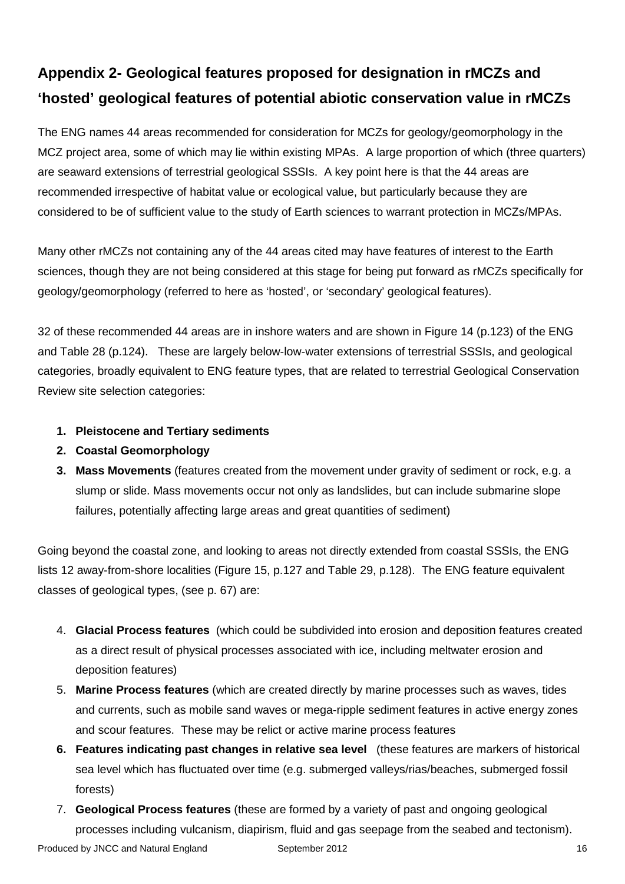# **Appendix 2- Geological features proposed for designation in rMCZs and 'hosted' geological features of potential abiotic conservation value in rMCZs**

The ENG names 44 areas recommended for consideration for MCZs for geology/geomorphology in the MCZ project area, some of which may lie within existing MPAs. A large proportion of which (three quarters) are seaward extensions of terrestrial geological SSSIs. A key point here is that the 44 areas are recommended irrespective of habitat value or ecological value, but particularly because they are considered to be of sufficient value to the study of Earth sciences to warrant protection in MCZs/MPAs.

Many other rMCZs not containing any of the 44 areas cited may have features of interest to the Earth sciences, though they are not being considered at this stage for being put forward as rMCZs specifically for geology/geomorphology (referred to here as 'hosted', or 'secondary' geological features).

32 of these recommended 44 areas are in inshore waters and are shown in Figure 14 (p.123) of the ENG and Table 28 (p.124). These are largely below-low-water extensions of terrestrial SSSIs, and geological categories, broadly equivalent to ENG feature types, that are related to terrestrial Geological Conservation Review site selection categories:

- **1. Pleistocene and Tertiary sediments**
- **2. Coastal Geomorphology**
- **3. Mass Movements** (features created from the movement under gravity of sediment or rock, e.g. a slump or slide. Mass movements occur not only as landslides, but can include submarine slope failures, potentially affecting large areas and great quantities of sediment)

Going beyond the coastal zone, and looking to areas not directly extended from coastal SSSIs, the ENG lists 12 away-from-shore localities (Figure 15, p.127 and Table 29, p.128). The ENG feature equivalent classes of geological types, (see p. 67) are:

- 4. **Glacial Process features** (which could be subdivided into erosion and deposition features created as a direct result of physical processes associated with ice, including meltwater erosion and deposition features)
- 5. **Marine Process features** (which are created directly by marine processes such as waves, tides and currents, such as mobile sand waves or mega-ripple sediment features in active energy zones and scour features. These may be relict or active marine process features
- **6. Features indicating past changes in relative sea level** (these features are markers of historical sea level which has fluctuated over time (e.g. submerged valleys/rias/beaches, submerged fossil forests)
- 7. **Geological Process features** (these are formed by a variety of past and ongoing geological processes including vulcanism, diapirism, fluid and gas seepage from the seabed and tectonism).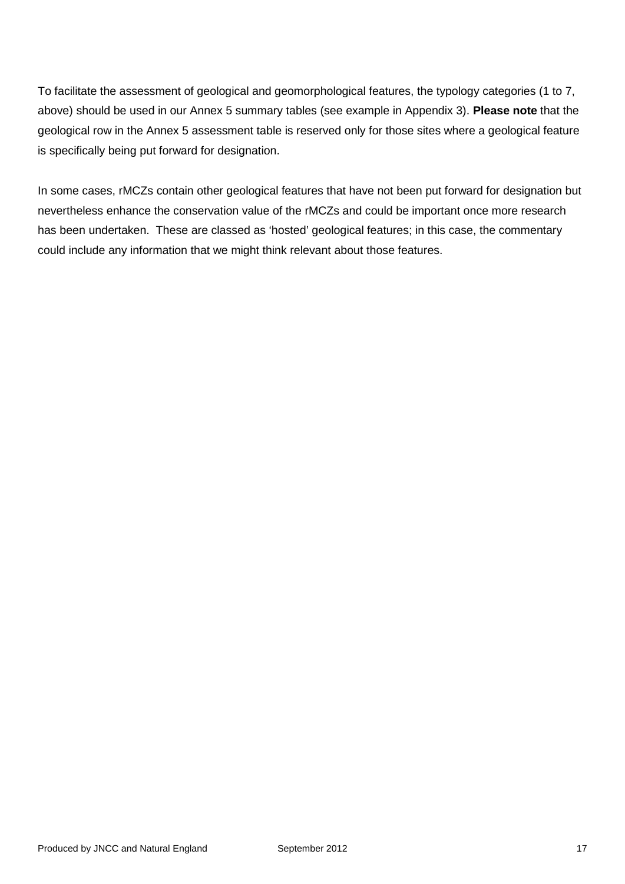To facilitate the assessment of geological and geomorphological features, the typology categories (1 to 7, above) should be used in our Annex 5 summary tables (see example in Appendix 3). **Please note** that the geological row in the Annex 5 assessment table is reserved only for those sites where a geological feature is specifically being put forward for designation.

In some cases, rMCZs contain other geological features that have not been put forward for designation but nevertheless enhance the conservation value of the rMCZs and could be important once more research has been undertaken. These are classed as 'hosted' geological features; in this case, the commentary could include any information that we might think relevant about those features.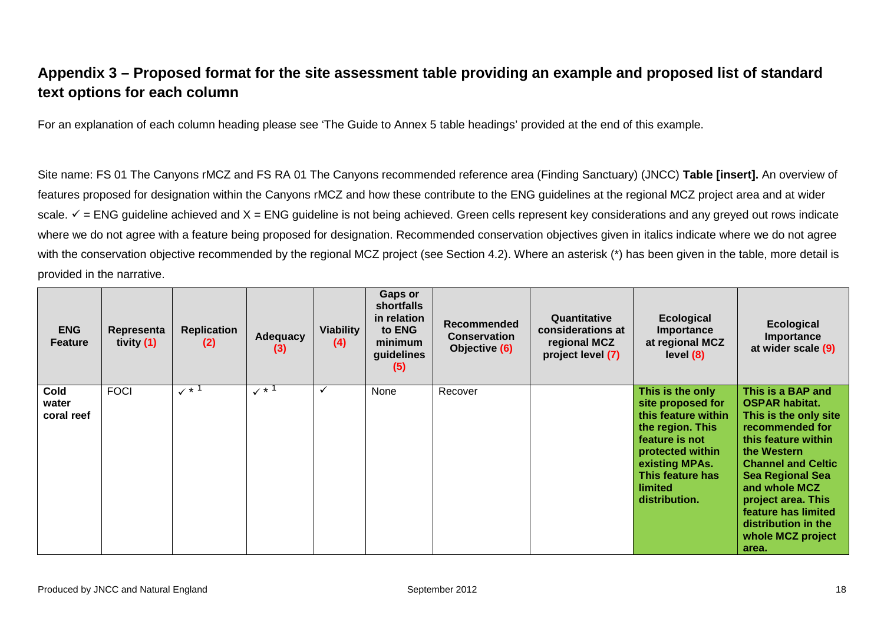# **Appendix 3 – Proposed format for the site assessment table providing an example and proposed list of standard text options for each column**

For an explanation of each column heading please see 'The Guide to Annex 5 table headings' provided at the end of this example.

Site name: FS 01 The Canyons rMCZ and FS RA 01 The Canyons recommended reference area (Finding Sanctuary) (JNCC) **Table [insert].** An overview of features proposed for designation within the Canyons rMCZ and how these contribute to the ENG guidelines at the regional MCZ project area and at wider scale.  $\checkmark$  = ENG guideline achieved and X = ENG guideline is not being achieved. Green cells represent key considerations and any greved out rows indicate where we do not agree with a feature being proposed for designation. Recommended conservation objectives given in italics indicate where we do not agree with the conservation objective recommended by the regional MCZ project (see Section 4.2). Where an asterisk (\*) has been given in the table, more detail is provided in the narrative.

<span id="page-17-0"></span>

| <b>ENG</b><br>Feature       | Representa<br>tivity (1) | <b>Replication</b><br>(2) | Adequacy<br>(3)             | <b>Viability</b><br>(4) | Gaps or<br>shortfalls<br>in relation<br>to ENG<br>minimum<br>guidelines<br>(5) | Recommended<br><b>Conservation</b><br>Objective (6) | Quantitative<br>considerations at<br>regional MCZ<br>project level (7) | <b>Ecological</b><br>Importance<br>at regional MCZ<br>level(8)                                                                                                                           | <b>Ecological</b><br>Importance<br>at wider scale (9)                                                                                                                                                                                                                                                   |
|-----------------------------|--------------------------|---------------------------|-----------------------------|-------------------------|--------------------------------------------------------------------------------|-----------------------------------------------------|------------------------------------------------------------------------|------------------------------------------------------------------------------------------------------------------------------------------------------------------------------------------|---------------------------------------------------------------------------------------------------------------------------------------------------------------------------------------------------------------------------------------------------------------------------------------------------------|
| Cold<br>water<br>coral reef | <b>FOCI</b>              | $\checkmark$ *            | $\checkmark$ * $\checkmark$ | $\checkmark$            | None                                                                           | Recover                                             |                                                                        | This is the only<br>site proposed for<br>this feature within<br>the region. This<br>feature is not<br>protected within<br>existing MPAs.<br>This feature has<br>limited<br>distribution. | This is a BAP and<br><b>OSPAR habitat.</b><br>This is the only site<br>recommended for<br>this feature within<br>the Western<br><b>Channel and Celtic</b><br><b>Sea Regional Sea</b><br>and whole MCZ<br>project area. This<br>feature has limited<br>distribution in the<br>whole MCZ project<br>area. |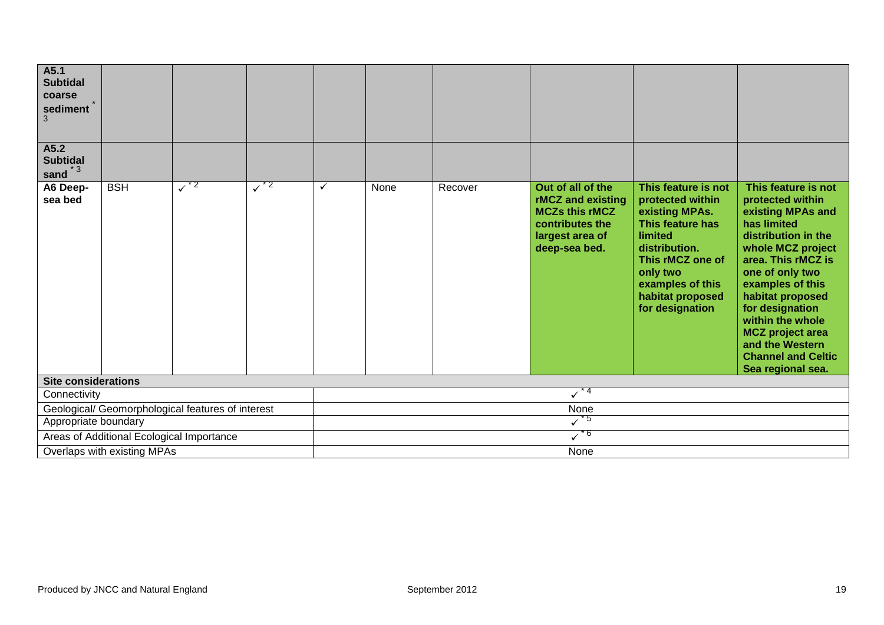| A5.1<br><b>Subtidal</b><br>coarse<br>sediment<br>3 |            |                           |            |                             |      |         |                                                                                                                        |                                                                                                                                                                                                      |                                                                                                                                                                                                                                                                                                                                                 |  |
|----------------------------------------------------|------------|---------------------------|------------|-----------------------------|------|---------|------------------------------------------------------------------------------------------------------------------------|------------------------------------------------------------------------------------------------------------------------------------------------------------------------------------------------------|-------------------------------------------------------------------------------------------------------------------------------------------------------------------------------------------------------------------------------------------------------------------------------------------------------------------------------------------------|--|
| A5.2<br><b>Subtidal</b><br>* 3<br>sand             |            |                           |            |                             |      |         |                                                                                                                        |                                                                                                                                                                                                      |                                                                                                                                                                                                                                                                                                                                                 |  |
| A6 Deep-<br>sea bed                                | <b>BSH</b> | $\overline{\checkmark}^2$ | $\sqrt{2}$ | $\checkmark$                | None | Recover | Out of all of the<br>rMCZ and existing<br><b>MCZs this rMCZ</b><br>contributes the<br>largest area of<br>deep-sea bed. | This feature is not<br>protected within<br>existing MPAs.<br>This feature has<br>limited<br>distribution.<br>This rMCZ one of<br>only two<br>examples of this<br>habitat proposed<br>for designation | This feature is not<br>protected within<br>existing MPAs and<br>has limited<br>distribution in the<br>whole MCZ project<br>area. This rMCZ is<br>one of only two<br>examples of this<br>habitat proposed<br>for designation<br>within the whole<br><b>MCZ</b> project area<br>and the Western<br><b>Channel and Celtic</b><br>Sea regional sea. |  |
| <b>Site considerations</b>                         |            |                           |            |                             |      |         |                                                                                                                        |                                                                                                                                                                                                      |                                                                                                                                                                                                                                                                                                                                                 |  |
| Connectivity                                       |            |                           | $\sqrt{4}$ |                             |      |         |                                                                                                                        |                                                                                                                                                                                                      |                                                                                                                                                                                                                                                                                                                                                 |  |
| Geological/ Geomorphological features of interest  |            |                           |            |                             | None |         |                                                                                                                        |                                                                                                                                                                                                      |                                                                                                                                                                                                                                                                                                                                                 |  |
| Appropriate boundary                               |            |                           |            | $\overline{\smash{v}}^{*5}$ |      |         |                                                                                                                        |                                                                                                                                                                                                      |                                                                                                                                                                                                                                                                                                                                                 |  |
| Areas of Additional Ecological Importance          |            |                           |            | $\sim$ $*$ 6                |      |         |                                                                                                                        |                                                                                                                                                                                                      |                                                                                                                                                                                                                                                                                                                                                 |  |
| Overlaps with existing MPAs                        |            |                           | None       |                             |      |         |                                                                                                                        |                                                                                                                                                                                                      |                                                                                                                                                                                                                                                                                                                                                 |  |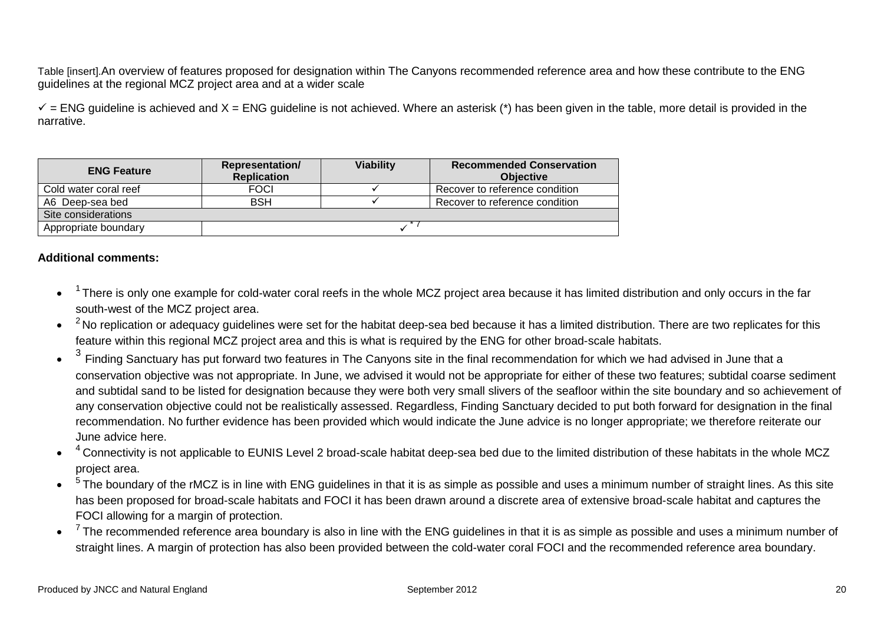Table linsertl.An overview of features proposed for designation within The Canyons recommended reference area and how these contribute to the ENG guidelines at the regional MCZ project area and at a wider scale

 $\checkmark$  = ENG guideline is achieved and X = ENG guideline is not achieved. Where an asterisk (\*) has been given in the table, more detail is provided in the narrative.

| <b>ENG Feature</b>    | <b>Representation/</b><br><b>Replication</b> | <b>Viability</b> | <b>Recommended Conservation</b><br><b>Objective</b> |  |
|-----------------------|----------------------------------------------|------------------|-----------------------------------------------------|--|
| Cold water coral reef | <b>FOCI</b>                                  |                  | Recover to reference condition                      |  |
| A6 Deep-sea bed       | <b>BSH</b>                                   |                  | Recover to reference condition                      |  |
| Site considerations   |                                              |                  |                                                     |  |
| Appropriate boundary  |                                              |                  |                                                     |  |

### **Additional comments:**

- $\bullet$  <sup>1</sup> There is only one example for cold-water coral reefs in the whole MCZ project area because it has limited distribution and only occurs in the far south-west of the MCZ project area.
- $^{2}$ No replication or adequacy quidelines were set for the habitat deep-sea bed because it has a limited distribution. There are two replicates for this feature within this regional MCZ project area and this is what is required by the ENG for other broad-scale habitats.
- $3$  Finding Sanctuary has put forward two features in The Canyons site in the final recommendation for which we had advised in June that a conservation objective was not appropriate. In June, we advised it would not be appropriate for either of these two features; subtidal coarse sediment and subtidal sand to be listed for designation because they were both very small slivers of the seafloor within the site boundary and so achievement of any conservation objective could not be realistically assessed. Regardless, Finding Sanctuary decided to put both forward for designation in the final recommendation. No further evidence has been provided which would indicate the June advice is no longer appropriate; we therefore reiterate our June advice here.
- $4$  Connectivity is not applicable to EUNIS Level 2 broad-scale habitat deep-sea bed due to the limited distribution of these habitats in the whole MCZ project area.
- <sup>5</sup> The boundary of the rMCZ is in line with ENG quidelines in that it is as simple as possible and uses a minimum number of straight lines. As this site has been proposed for broad-scale habitats and FOCI it has been drawn around a discrete area of extensive broad-scale habitat and captures the FOCI allowing for a margin of protection.
- $\bullet$  <sup>7</sup> The recommended reference area boundary is also in line with the ENG guidelines in that it is as simple as possible and uses a minimum number of straight lines. A margin of protection has also been provided between the cold-water coral FOCI and the recommended reference area boundary.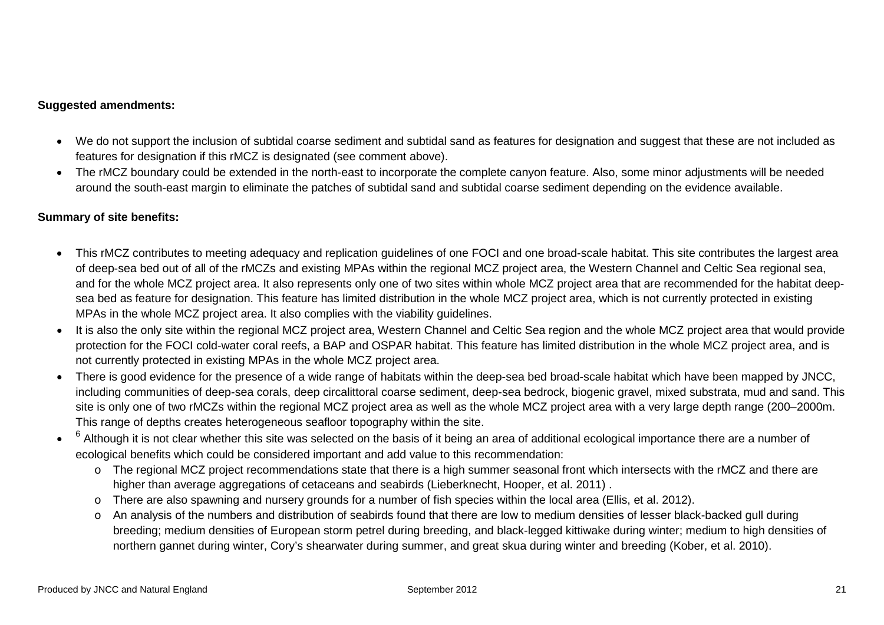#### **Suggested amendments:**

- We do not support the inclusion of subtidal coarse sediment and subtidal sand as features for designation and suggest that these are not included as features for designation if this rMCZ is designated (see comment above).
- The rMCZ boundary could be extended in the north-east to incorporate the complete canyon feature. Also, some minor adjustments will be needed around the south-east margin to eliminate the patches of subtidal sand and subtidal coarse sediment depending on the evidence available.

### **Summary of site benefits:**

- This rMCZ contributes to meeting adequacy and replication guidelines of one FOCI and one broad-scale habitat. This site contributes the largest area of deep-sea bed out of all of the rMCZs and existing MPAs within the regional MCZ project area, the Western Channel and Celtic Sea regional sea, and for the whole MCZ project area. It also represents only one of two sites within whole MCZ project area that are recommended for the habitat deepsea bed as feature for designation. This feature has limited distribution in the whole MCZ project area, which is not currently protected in existing MPAs in the whole MCZ project area. It also complies with the viability guidelines.
- It is also the only site within the regional MCZ project area, Western Channel and Celtic Sea region and the whole MCZ project area that would provide protection for the FOCI cold-water coral reefs, a BAP and OSPAR habitat. This feature has limited distribution in the whole MCZ project area, and is not currently protected in existing MPAs in the whole MCZ project area.
- There is good evidence for the presence of a wide range of habitats within the deep-sea bed broad-scale habitat which have been mapped by JNCC, including communities of deep-sea corals, deep circalittoral coarse sediment, deep-sea bedrock, biogenic gravel, mixed substrata, mud and sand. This site is only one of two rMCZs within the regional MCZ project area as well as the whole MCZ project area with a very large depth range (200–2000m. This range of depths creates heterogeneous seafloor topography within the site.
- $6$  Although it is not clear whether this site was selected on the basis of it being an area of additional ecological importance there are a number of ecological benefits which could be considered important and add value to this recommendation:
	- o The regional MCZ project recommendations state that there is a high summer seasonal front which intersects with the rMCZ and there are higher than average aggregations of cetaceans and seabirds (Lieberknecht, Hooper, et al. 2011) .
	- o There are also spawning and nursery grounds for a number of fish species within the local area (Ellis, et al. 2012).
	- o An analysis of the numbers and distribution of seabirds found that there are low to medium densities of lesser black-backed gull during breeding; medium densities of European storm petrel during breeding, and black-legged kittiwake during winter; medium to high densities of northern gannet during winter, Cory's shearwater during summer, and great skua during winter and breeding (Kober, et al. 2010).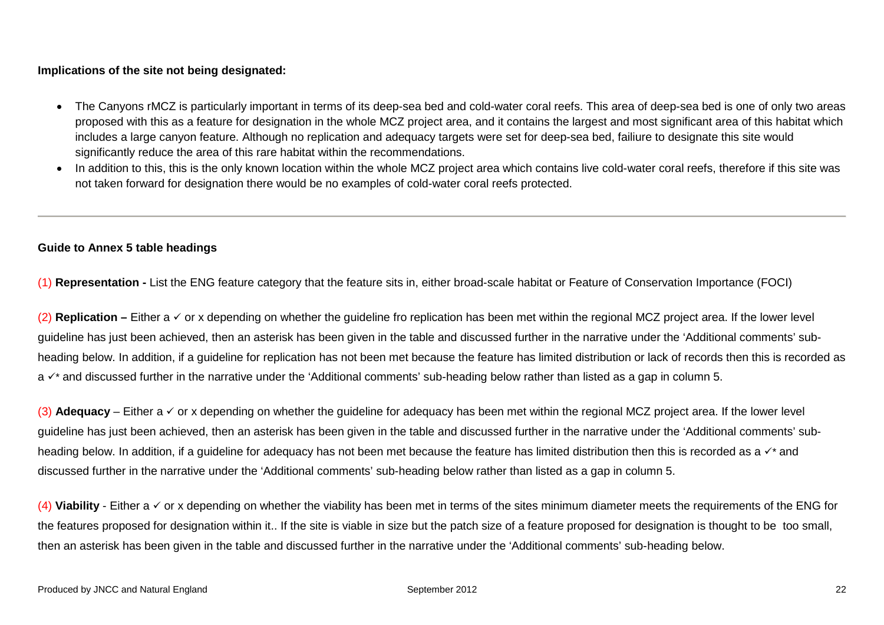#### **Implications of the site not being designated:**

- The Canyons rMCZ is particularly important in terms of its deep-sea bed and cold-water coral reefs. This area of deep-sea bed is one of only two areas proposed with this as a feature for designation in the whole MCZ project area, and it contains the largest and most significant area of this habitat which includes a large canyon feature. Although no replication and adequacy targets were set for deep-sea bed, failiure to designate this site would significantly reduce the area of this rare habitat within the recommendations.
- In addition to this, this is the only known location within the whole MCZ project area which contains live cold-water coral reefs, therefore if this site was not taken forward for designation there would be no examples of cold-water coral reefs protected.

#### **Guide to Annex 5 table headings**

(1) **Representation -** List the ENG feature category that the feature sits in, either broad-scale habitat or Feature of Conservation Importance (FOCI)

(2) **Replication** – Either a √ or x depending on whether the guideline fro replication has been met within the regional MCZ project area. If the lower level guideline has just been achieved, then an asterisk has been given in the table and discussed further in the narrative under the 'Additional comments' subheading below. In addition, if a guideline for replication has not been met because the feature has limited distribution or lack of records then this is recorded as a  $\checkmark$  and discussed further in the narrative under the 'Additional comments' sub-heading below rather than listed as a gap in column 5.

(3) Adequacy – Either  $a \vee$  or x depending on whether the guideline for adequacy has been met within the regional MCZ project area. If the lower level guideline has just been achieved, then an asterisk has been given in the table and discussed further in the narrative under the 'Additional comments' subheading below. In addition, if a quideline for adequacy has not been met because the feature has limited distribution then this is recorded as a  $\checkmark^*$  and discussed further in the narrative under the 'Additional comments' sub-heading below rather than listed as a gap in column 5.

(4) Viability - Either a  $\checkmark$  or x depending on whether the viability has been met in terms of the sites minimum diameter meets the requirements of the ENG for the features proposed for designation within it.. If the site is viable in size but the patch size of a feature proposed for designation is thought to be too small, then an asterisk has been given in the table and discussed further in the narrative under the 'Additional comments' sub-heading below.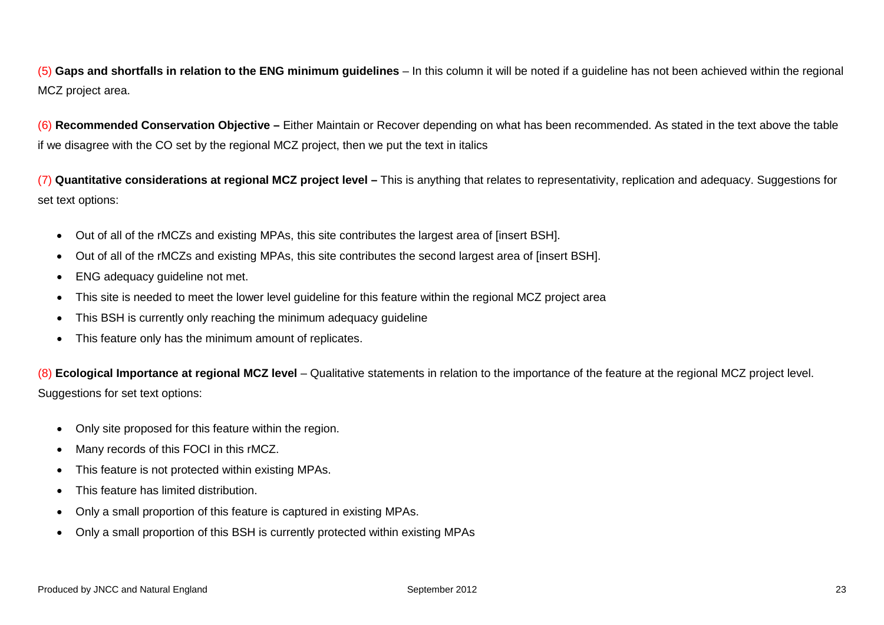(5) **Gaps and shortfalls in relation to the ENG minimum guidelines** – In this column it will be noted if a guideline has not been achieved within the regional MCZ project area.

(6) **Recommended Conservation Objective –** Either Maintain or Recover depending on what has been recommended. As stated in the text above the table if we disagree with the CO set by the regional MCZ project, then we put the text in italics

(7) **Quantitative considerations at regional MCZ project level –** This is anything that relates to representativity, replication and adequacy. Suggestions for set text options:

- Out of all of the rMCZs and existing MPAs, this site contributes the largest area of [insert BSH].
- Out of all of the rMCZs and existing MPAs, this site contributes the second largest area of [insert BSH].
- ENG adequacy guideline not met.
- This site is needed to meet the lower level guideline for this feature within the regional MCZ project area
- This BSH is currently only reaching the minimum adequacy quideline
- This feature only has the minimum amount of replicates.

(8) **Ecological Importance at regional MCZ level** – Qualitative statements in relation to the importance of the feature at the regional MCZ project level. Suggestions for set text options:

- Only site proposed for this feature within the region.
- Many records of this FOCI in this rMCZ.
- This feature is not protected within existing MPAs.
- This feature has limited distribution.
- Only a small proportion of this feature is captured in existing MPAs.
- Only a small proportion of this BSH is currently protected within existing MPAs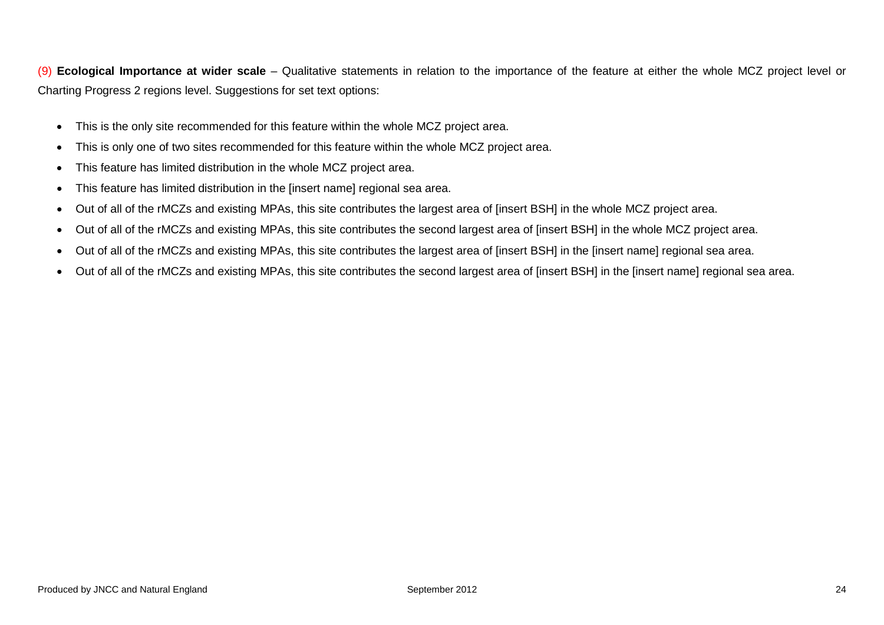(9) **Ecological Importance at wider scale** – Qualitative statements in relation to the importance of the feature at either the whole MCZ project level or Charting Progress 2 regions level. Suggestions for set text options:

- This is the only site recommended for this feature within the whole MCZ project area.
- This is only one of two sites recommended for this feature within the whole MCZ project area.
- This feature has limited distribution in the whole MCZ project area.
- This feature has limited distribution in the [insert name] regional sea area.
- Out of all of the rMCZs and existing MPAs, this site contributes the largest area of [insert BSH] in the whole MCZ project area.
- Out of all of the rMCZs and existing MPAs, this site contributes the second largest area of [insert BSH] in the whole MCZ project area.
- Out of all of the rMCZs and existing MPAs, this site contributes the largest area of [insert BSH] in the [insert name] regional sea area.
- Out of all of the rMCZs and existing MPAs, this site contributes the second largest area of [insert BSH] in the [insert name] regional sea area.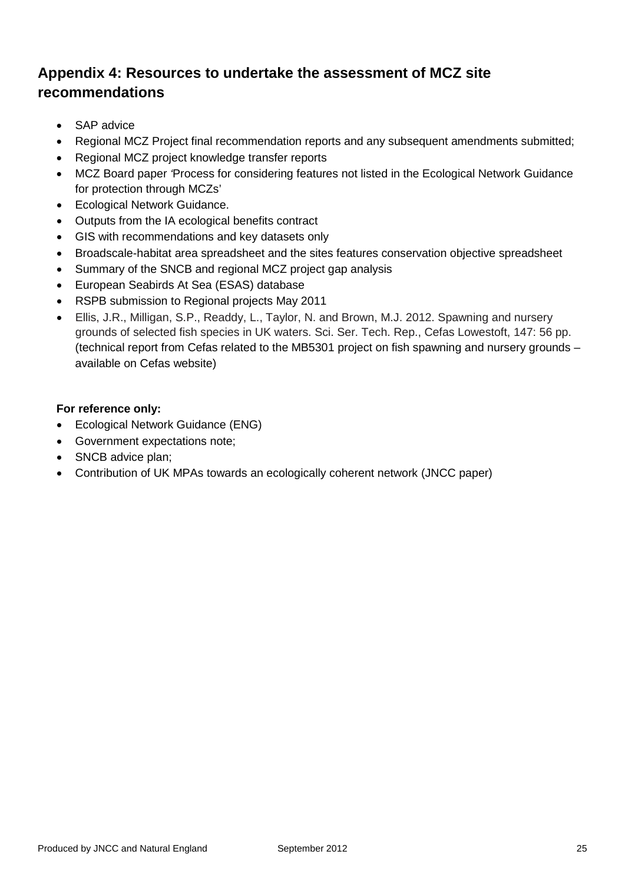# <span id="page-24-0"></span>**Appendix 4: Resources to undertake the assessment of MCZ site recommendations**

- SAP advice
- Regional MCZ Project final recommendation reports and any subsequent amendments submitted;
- Regional MCZ project knowledge transfer reports
- MCZ Board paper *'*Process for considering features not listed in the Ecological Network Guidance for protection through MCZs'
- Ecological Network Guidance.
- Outputs from the IA ecological benefits contract
- GIS with recommendations and key datasets only
- Broadscale-habitat area spreadsheet and the sites features conservation objective spreadsheet
- Summary of the SNCB and regional MCZ project gap analysis
- European Seabirds At Sea (ESAS) database
- RSPB submission to Regional projects May 2011
- Ellis, J.R., Milligan, S.P., Readdy, L., Taylor, N. and Brown, M.J. 2012. Spawning and nursery grounds of selected fish species in UK waters. Sci. Ser. Tech. Rep., Cefas Lowestoft, 147: 56 pp. (technical report from Cefas related to the MB5301 project on fish spawning and nursery grounds – available on Cefas website)

## **For reference only:**

- Ecological Network Guidance (ENG)
- Government expectations note;
- SNCB advice plan;
- Contribution of UK MPAs towards an ecologically coherent network (JNCC paper)